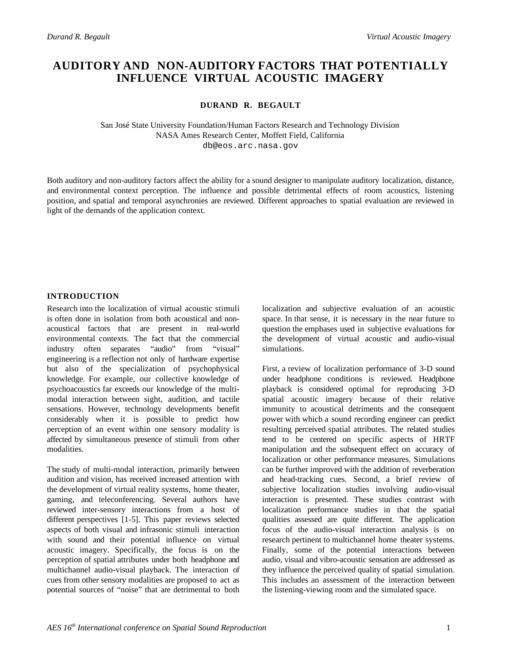# **AUDITORY AND NON-AUDITORY FACTORS THAT POTENTIALLY INFLUENCE VIRTUAL ACOUSTIC IMAGERY**

**DURAND R. BEGAULT**

San José State University Foundation/Human Factors Research and Technology Division NASA Ames Research Center, Moffett Field, California db@eos.arc.nasa.gov

Both auditory and non-auditory factors affect the ability for a sound designer to manipulate auditory localization, distance, and environmental context perception. The influence and possible detrimental effects of room acoustics, listening position, and spatial and temporal asynchronies are reviewed. Different approaches to spatial evaluation are reviewed in light of the demands of the application context.

### **INTRODUCTION**

Research into the localization of virtual acoustic stimuli is often done in isolation from both acoustical and nonacoustical factors that are present in real-world environmental contexts. The fact that the commercial industry often separates "audio" from "visual" engineering is a reflection not only of hardware expertise but also of the specialization of psychophysical knowledge. For example, our collective knowledge of psychoacoustics far exceeds our knowledge of the multimodal interaction between sight, audition, and tactile sensations. However, technology developments benefit considerably when it is possible to predict how perception of an event within one sensory modality is affected by simultaneous presence of stimuli from other modalities.

The study of multi-modal interaction, primarily between audition and vision, has received increased attention with the development of virtual reality systems, home theater, gaming, and teleconferencing. Several authors have reviewed inter-sensory interactions from a host of different perspectives [1-5]. This paper reviews selected aspects of both visual and infrasonic stimuli interaction with sound and their potential influence on virtual acoustic imagery. Specifically, the focus is on the perception of spatial attributes under both headphone and multichannel audio-visual playback. The interaction of cues from other sensory modalities are proposed to act as potential sources of "noise" that are detrimental to both localization and subjective evaluation of an acoustic space. In that sense, it is necessary in the near future to question the emphases used in subjective evaluations for the development of virtual acoustic and audio-visual simulations.

First, a review of localization performance of 3-D sound under headphone conditions is reviewed. Headphone playback is considered optimal for reproducing 3-D spatial acoustic imagery because of their relative immunity to acoustical detriments and the consequent power with which a sound recording engineer can predict resulting perceived spatial attributes. The related studies tend to be centered on specific aspects of HRTF manipulation and the subsequent effect on accuracy of localization or other performance measures. Simulations can be further improved with the addition of reverberation and head-tracking cues. Second, a brief review of subjective localization studies involving audio-visual interaction is presented. These studies contrast with localization performance studies in that the spatial qualities assessed are quite different. The application focus of the audio-visual interaction analysis is on research pertinent to multichannel home theater systems. Finally, some of the potential interactions between audio, visual and vibro-acoustic sensation are addressed as they influence the perceived quality of spatial simulation. This includes an assessment of the interaction between the listening-viewing room and the simulated space.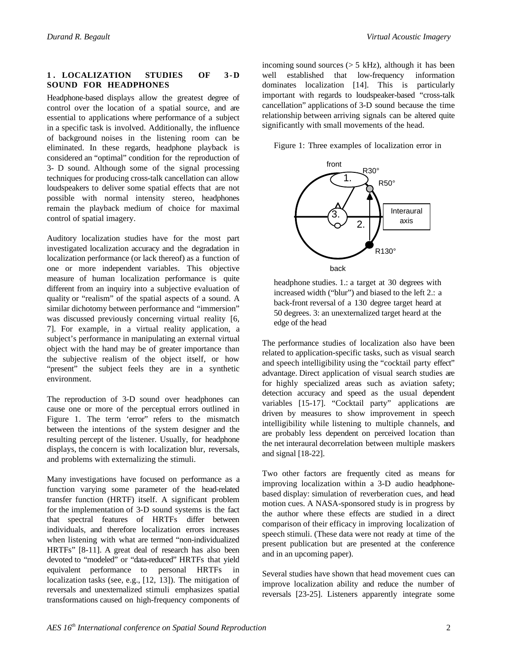# **1 . LOCALIZATION STUDIES OF 3-D SOUND FOR HEADPHONES**

Headphone-based displays allow the greatest degree of control over the location of a spatial source, and are essential to applications where performance of a subject in a specific task is involved. Additionally, the influence of background noises in the listening room can be eliminated. In these regards, headphone playback is considered an "optimal" condition for the reproduction of 3- D sound. Although some of the signal processing techniques for producing cross-talk cancellation can allow loudspeakers to deliver some spatial effects that are not possible with normal intensity stereo, headphones remain the playback medium of choice for maximal control of spatial imagery.

Auditory localization studies have for the most part investigated localization accuracy and the degradation in localization performance (or lack thereof) as a function of one or more independent variables. This objective measure of human localization performance is quite different from an inquiry into a subjective evaluation of quality or "realism" of the spatial aspects of a sound. A similar dichotomy between performance and "immersion" was discussed previously concerning virtual reality [6, 7]. For example, in a virtual reality application, a subject's performance in manipulating an external virtual object with the hand may be of greater importance than the subjective realism of the object itself, or how "present" the subject feels they are in a synthetic environment.

The reproduction of 3-D sound over headphones can cause one or more of the perceptual errors outlined in Figure 1. The term 'error" refers to the mismatch between the intentions of the system designer and the resulting percept of the listener. Usually, for headphone displays, the concern is with localization blur, reversals, and problems with externalizing the stimuli.

Many investigations have focused on performance as a function varying some parameter of the head-related transfer function (HRTF) itself. A significant problem for the implementation of 3-D sound systems is the fact that spectral features of HRTFs differ between individuals, and therefore localization errors increases when listening with what are termed "non-individualized HRTFs" [8-11]. A great deal of research has also been devoted to "modeled" or "data-reduced" HRTFs that yield equivalent performance to personal HRTFs in localization tasks (see, e.g., [12, 13]). The mitigation of reversals and unexternalized stimuli emphasizes spatial transformations caused on high-frequency components of incoming sound sources  $(> 5 \text{ kHz})$ , although it has been well established that low-frequency information dominates localization [14]. This is particularly important with regards to loudspeaker-based "cross-talk cancellation" applications of 3-D sound because the time relationship between arriving signals can be altered quite significantly with small movements of the head.

Figure 1: Three examples of localization error in



headphone studies. 1.: a target at 30 degrees with increased width ("blur") and biased to the left 2.: a back-front reversal of a 130 degree target heard at 50 degrees. 3: an unexternalized target heard at the edge of the head

The performance studies of localization also have been related to application-specific tasks, such as visual search and speech intelligibility using the "cocktail party effect" advantage. Direct application of visual search studies are for highly specialized areas such as aviation safety; detection accuracy and speed as the usual dependent variables [15-17]. "Cocktail party" applications are driven by measures to show improvement in speech intelligibility while listening to multiple channels, and are probably less dependent on perceived location than the net interaural decorrelation between multiple maskers and signal [18-22].

Two other factors are frequently cited as means for improving localization within a 3-D audio headphonebased display: simulation of reverberation cues, and head motion cues. A NASA-sponsored study is in progress by the author where these effects are studied in a direct comparison of their efficacy in improving localization of speech stimuli. (These data were not ready at time of the present publication but are presented at the conference and in an upcoming paper).

Several studies have shown that head movement cues can improve localization ability and reduce the number of reversals [23-25]. Listeners apparently integrate some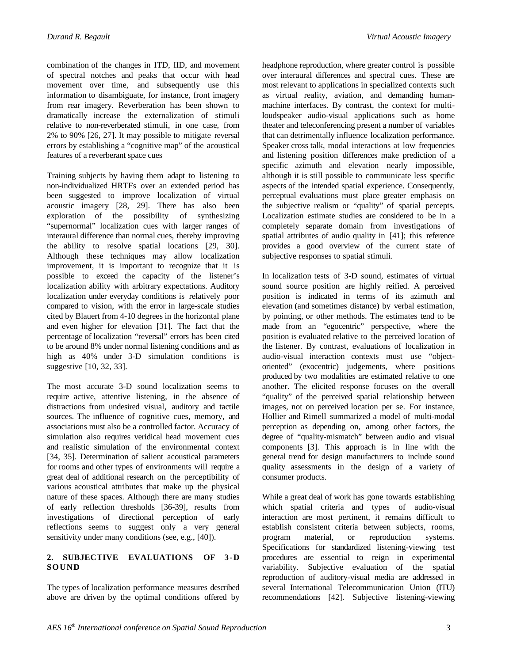combination of the changes in ITD, IID, and movement of spectral notches and peaks that occur with head movement over time, and subsequently use this information to disambiguate, for instance, front imagery from rear imagery. Reverberation has been shown to dramatically increase the externalization of stimuli relative to non-reverberated stimuli, in one case, from 2% to 90% [26, 27]. It may possible to mitigate reversal errors by establishing a "cognitive map" of the acoustical features of a reverberant space cues

Training subjects by having them adapt to listening to non-individualized HRTFs over an extended period has been suggested to improve localization of virtual acoustic imagery [28, 29]. There has also been exploration of the possibility of synthesizing "supernormal" localization cues with larger ranges of interaural difference than normal cues, thereby improving the ability to resolve spatial locations [29, 30]. Although these techniques may allow localization improvement, it is important to recognize that it is possible to exceed the capacity of the listener's localization ability with arbitrary expectations. Auditory localization under everyday conditions is relatively poor compared to vision, with the error in large-scale studies cited by Blauert from 4-10 degrees in the horizontal plane and even higher for elevation [31]. The fact that the percentage of localization "reversal" errors has been cited to be around 8% under normal listening conditions and as high as 40% under 3-D simulation conditions is suggestive [10, 32, 33].

The most accurate 3-D sound localization seems to require active, attentive listening, in the absence of distractions from undesired visual, auditory and tactile sources. The influence of cognitive cues, memory, and associations must also be a controlled factor. Accuracy of simulation also requires veridical head movement cues and realistic simulation of the environmental context [34, 35]. Determination of salient acoustical parameters for rooms and other types of environments will require a great deal of additional research on the perceptibility of various acoustical attributes that make up the physical nature of these spaces. Although there are many studies of early reflection thresholds [36-39], results from investigations of directional perception of early reflections seems to suggest only a very general sensitivity under many conditions (see, e.g., [40]).

# **2. SUBJECTIVE EVALUATIONS OF 3-D SOUND**

The types of localization performance measures described above are driven by the optimal conditions offered by

headphone reproduction, where greater control is possible over interaural differences and spectral cues. These are most relevant to applications in specialized contexts such as virtual reality, aviation, and demanding humanmachine interfaces. By contrast, the context for multiloudspeaker audio-visual applications such as home theater and teleconferencing present a number of variables that can detrimentally influence localization performance. Speaker cross talk, modal interactions at low frequencies and listening position differences make prediction of a specific azimuth and elevation nearly impossible, although it is still possible to communicate less specific aspects of the intended spatial experience. Consequently, perceptual evaluations must place greater emphasis on the subjective realism or "quality" of spatial percepts. Localization estimate studies are considered to be in a completely separate domain from investigations of spatial attributes of audio quality in [41]; this reference provides a good overview of the current state of subjective responses to spatial stimuli.

In localization tests of 3-D sound, estimates of virtual sound source position are highly reified. A perceived position is indicated in terms of its azimuth and elevation (and sometimes distance) by verbal estimation, by pointing, or other methods. The estimates tend to be made from an "egocentric" perspective, where the position is evaluated relative to the perceived location of the listener. By contrast, evaluations of localization in audio-visual interaction contexts must use "objectoriented" (exocentric) judgements, where positions produced by two modalities are estimated relative to one another. The elicited response focuses on the overall "quality" of the perceived spatial relationship between images, not on perceived location per se. For instance, Hollier and Rimell summarized a model of multi-modal perception as depending on, among other factors, the degree of "quality-mismatch" between audio and visual components [3]. This approach is in line with the general trend for design manufacturers to include sound quality assessments in the design of a variety of consumer products.

While a great deal of work has gone towards establishing which spatial criteria and types of audio-visual interaction are most pertinent, it remains difficult to establish consistent criteria between subjects, rooms, program material, or reproduction systems. Specifications for standardized listening-viewing test procedures are essential to reign in experimental variability. Subjective evaluation of the spatial reproduction of auditory-visual media are addressed in several International Telecommunication Union (ITU) recommendations [42]. Subjective listening-viewing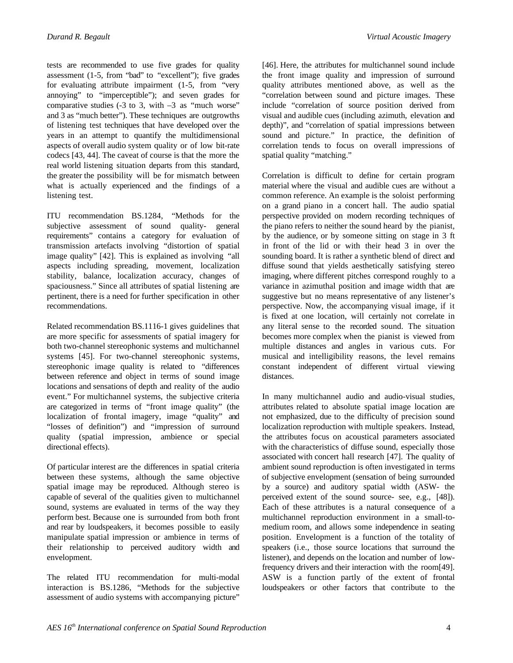tests are recommended to use five grades for quality assessment (1-5, from "bad" to "excellent"); five grades for evaluating attribute impairment (1-5, from "very annoying" to "imperceptible"); and seven grades for comparative studies  $(-3 \text{ to } 3, \text{ with } -3 \text{ as 'much worse'})$ and 3 as "much better"). These techniques are outgrowths of listening test techniques that have developed over the years in an attempt to quantify the multidimensional aspects of overall audio system quality or of low bit-rate codecs [43, 44]. The caveat of course is that the more the real world listening situation departs from this standard, the greater the possibility will be for mismatch between what is actually experienced and the findings of a listening test.

ITU recommendation BS.1284, "Methods for the subjective assessment of sound quality- general requirements" contains a category for evaluation of transmission artefacts involving "distortion of spatial image quality" [42]. This is explained as involving "all aspects including spreading, movement, localization stability, balance, localization accuracy, changes of spaciousness." Since all attributes of spatial listening are pertinent, there is a need for further specification in other recommendations.

Related recommendation BS.1116-1 gives guidelines that are more specific for assessments of spatial imagery for both two-channel stereophonic systems and multichannel systems [45]. For two-channel stereophonic systems, stereophonic image quality is related to "differences between reference and object in terms of sound image locations and sensations of depth and reality of the audio event." For multichannel systems, the subjective criteria are categorized in terms of "front image quality" (the localization of frontal imagery, image "quality" and "losses of definition") and "impression of surround quality (spatial impression, ambience or special directional effects).

Of particular interest are the differences in spatial criteria between these systems, although the same objective spatial image may be reproduced. Although stereo is capable of several of the qualities given to multichannel sound, systems are evaluated in terms of the way they perform best. Because one is surrounded from both front and rear by loudspeakers, it becomes possible to easily manipulate spatial impression or ambience in terms of their relationship to perceived auditory width and envelopment.

The related ITU recommendation for multi-modal interaction is BS.1286, "Methods for the subjective assessment of audio systems with accompanying picture"

[46]. Here, the attributes for multichannel sound include the front image quality and impression of surround quality attributes mentioned above, as well as the "correlation between sound and picture images. These include "correlation of source position derived from visual and audible cues (including azimuth, elevation and depth)", and "correlation of spatial impressions between sound and picture." In practice, the definition of correlation tends to focus on overall impressions of spatial quality "matching."

Correlation is difficult to define for certain program material where the visual and audible cues are without a common reference. An example is the soloist performing on a grand piano in a concert hall. The audio spatial perspective provided on modern recording techniques of the piano refers to neither the sound heard by the pianist, by the audience, or by someone sitting on stage in 3 ft in front of the lid or with their head 3 in over the sounding board. It is rather a synthetic blend of direct and diffuse sound that yields aesthetically satisfying stereo imaging, where different pitches correspond roughly to a variance in azimuthal position and image width that are suggestive but no means representative of any listener's perspective. Now, the accompanying visual image, if it is fixed at one location, will certainly not correlate in any literal sense to the recorded sound. The situation becomes more complex when the pianist is viewed from multiple distances and angles in various cuts. For musical and intelligibility reasons, the level remains constant independent of different virtual viewing distances.

In many multichannel audio and audio-visual studies, attributes related to absolute spatial image location are not emphasized, due to the difficulty of precision sound localization reproduction with multiple speakers. Instead, the attributes focus on acoustical parameters associated with the characteristics of diffuse sound, especially those associated with concert hall research [47]. The quality of ambient sound reproduction is often investigated in terms of subjective envelopment (sensation of being surrounded by a source) and auditory spatial width (ASW- the perceived extent of the sound source- see, e.g., [48]). Each of these attributes is a natural consequence of a multichannel reproduction environment in a small-tomedium room, and allows some independence in seating position. Envelopment is a function of the totality of speakers (i.e., those source locations that surround the listener), and depends on the location and number of lowfrequency drivers and their interaction with the room[49]. ASW is a function partly of the extent of frontal loudspeakers or other factors that contribute to the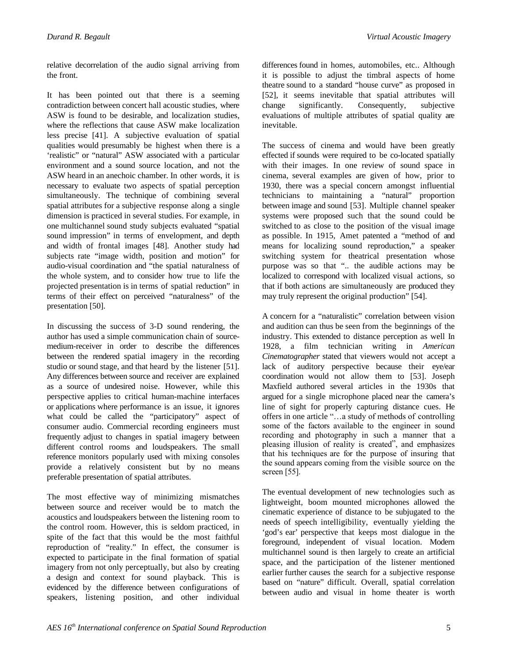relative decorrelation of the audio signal arriving from the front.

It has been pointed out that there is a seeming contradiction between concert hall acoustic studies, where ASW is found to be desirable, and localization studies, where the reflections that cause ASW make localization less precise [41]. A subjective evaluation of spatial qualities would presumably be highest when there is a 'realistic" or "natural" ASW associated with a particular environment and a sound source location, and not the ASW heard in an anechoic chamber. In other words, it is necessary to evaluate two aspects of spatial perception simultaneously. The technique of combining several spatial attributes for a subjective response along a single dimension is practiced in several studies. For example, in one multichannel sound study subjects evaluated "spatial sound impression" in terms of envelopment, and depth and width of frontal images [48]. Another study had subjects rate "image width, position and motion" for audio-visual coordination and "the spatial naturalness of the whole system, and to consider how true to life the projected presentation is in terms of spatial reduction" in terms of their effect on perceived "naturalness" of the presentation [50].

In discussing the success of 3-D sound rendering, the author has used a simple communication chain of sourcemedium-receiver in order to describe the differences between the rendered spatial imagery in the recording studio or sound stage, and that heard by the listener [51]. Any differences between source and receiver are explained as a source of undesired noise. However, while this perspective applies to critical human-machine interfaces or applications where performance is an issue, it ignores what could be called the "participatory" aspect of consumer audio. Commercial recording engineers must frequently adjust to changes in spatial imagery between different control rooms and loudspeakers. The small reference monitors popularly used with mixing consoles provide a relatively consistent but by no means preferable presentation of spatial attributes.

The most effective way of minimizing mismatches between source and receiver would be to match the acoustics and loudspeakers between the listening room to the control room. However, this is seldom practiced, in spite of the fact that this would be the most faithful reproduction of "reality." In effect, the consumer is expected to participate in the final formation of spatial imagery from not only perceptually, but also by creating a design and context for sound playback. This is evidenced by the difference between configurations of speakers, listening position, and other individual

differences found in homes, automobiles, etc.. Although it is possible to adjust the timbral aspects of home theatre sound to a standard "house curve" as proposed in [52], it seems inevitable that spatial attributes will change significantly. Consequently, subjective evaluations of multiple attributes of spatial quality are inevitable.

The success of cinema and would have been greatly effected if sounds were required to be co-located spatially with their images. In one review of sound space in cinema, several examples are given of how, prior to 1930, there was a special concern amongst influential technicians to maintaining a "natural" proportion between image and sound [53]. Multiple channel speaker systems were proposed such that the sound could be switched to as close to the position of the visual image as possible. In 1915, Amet patented a "method of and means for localizing sound reproduction," a speaker switching system for theatrical presentation whose purpose was so that ".. the audible actions may be localized to correspond with localized visual actions, so that if both actions are simultaneously are produced they may truly represent the original production" [54].

A concern for a "naturalistic" correlation between vision and audition can thus be seen from the beginnings of the industry. This extended to distance perception as well In 1928, a film technician writing in *American Cinematographer* stated that viewers would not accept a lack of auditory perspective because their eye/ear coordination would not allow them to [53]. Joseph Maxfield authored several articles in the 1930s that argued for a single microphone placed near the camera's line of sight for properly capturing distance cues. He offers in one article "…a study of methods of controlling some of the factors available to the engineer in sound recording and photography in such a manner that a pleasing illusion of reality is created", and emphasizes that his techniques are for the purpose of insuring that the sound appears coming from the visible source on the screen [55].

The eventual development of new technologies such as lightweight, boom mounted microphones allowed the cinematic experience of distance to be subjugated to the needs of speech intelligibility, eventually yielding the 'god's ear' perspective that keeps most dialogue in the foreground, independent of visual location. Modern multichannel sound is then largely to create an artificial space, and the participation of the listener mentioned earlier further causes the search for a subjective response based on "nature" difficult. Overall, spatial correlation between audio and visual in home theater is worth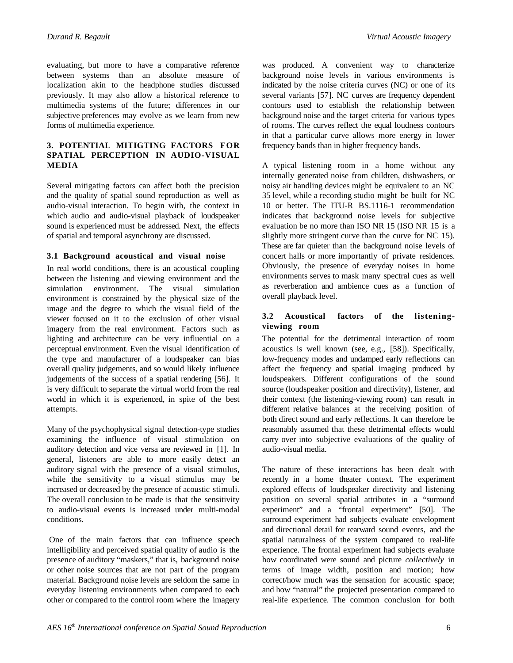evaluating, but more to have a comparative reference between systems than an absolute measure of localization akin to the headphone studies discussed previously. It may also allow a historical reference to multimedia systems of the future; differences in our subjective preferences may evolve as we learn from new forms of multimedia experience.

# **3. POTENTIAL MITIGTING FACTORS FOR SPATIAL PERCEPTION IN AUDIO-VISUAL MEDIA**

Several mitigating factors can affect both the precision and the quality of spatial sound reproduction as well as audio-visual interaction. To begin with, the context in which audio and audio-visual playback of loudspeaker sound is experienced must be addressed. Next, the effects of spatial and temporal asynchrony are discussed.

# **3.1 Background acoustical and visual noise**

In real world conditions, there is an acoustical coupling between the listening and viewing environment and the simulation environment. The visual simulation environment is constrained by the physical size of the image and the degree to which the visual field of the viewer focused on it to the exclusion of other visual imagery from the real environment. Factors such as lighting and architecture can be very influential on a perceptual environment. Even the visual identification of the type and manufacturer of a loudspeaker can bias overall quality judgements, and so would likely influence judgements of the success of a spatial rendering [56]. It is very difficult to separate the virtual world from the real world in which it is experienced, in spite of the best attempts.

Many of the psychophysical signal detection-type studies examining the influence of visual stimulation on auditory detection and vice versa are reviewed in [1]. In general, listeners are able to more easily detect an auditory signal with the presence of a visual stimulus, while the sensitivity to a visual stimulus may be increased or decreased by the presence of acoustic stimuli. The overall conclusion to be made is that the sensitivity to audio-visual events is increased under multi-modal conditions.

 One of the main factors that can influence speech intelligibility and perceived spatial quality of audio is the presence of auditory "maskers," that is, background noise or other noise sources that are not part of the program material. Background noise levels are seldom the same in everyday listening environments when compared to each other or compared to the control room where the imagery

was produced. A convenient way to characterize background noise levels in various environments is indicated by the noise criteria curves (NC) or one of its several variants [57]. NC curves are frequency dependent contours used to establish the relationship between background noise and the target criteria for various types of rooms. The curves reflect the equal loudness contours in that a particular curve allows more energy in lower frequency bands than in higher frequency bands.

A typical listening room in a home without any internally generated noise from children, dishwashers, or noisy air handling devices might be equivalent to an NC 35 level, while a recording studio might be built for NC 10 or better. The ITU-R BS.1116-1 recommendation indicates that background noise levels for subjective evaluation be no more than ISO NR 15 (ISO NR 15 is a slightly more stringent curve than the curve for NC 15). These are far quieter than the background noise levels of concert halls or more importantly of private residences. Obviously, the presence of everyday noises in home environments serves to mask many spectral cues as well as reverberation and ambience cues as a function of overall playback level.

# **3.2 Acoustical factors of the listeningviewing room**

The potential for the detrimental interaction of room acoustics is well known (see, e.g., [58]). Specifically, low-frequency modes and undamped early reflections can affect the frequency and spatial imaging produced by loudspeakers. Different configurations of the sound source (loudspeaker position and directivity), listener, and their context (the listening-viewing room) can result in different relative balances at the receiving position of both direct sound and early reflections. It can therefore be reasonably assumed that these detrimental effects would carry over into subjective evaluations of the quality of audio-visual media.

The nature of these interactions has been dealt with recently in a home theater context. The experiment explored effects of loudspeaker directivity and listening position on several spatial attributes in a "surround experiment" and a "frontal experiment" [50]. The surround experiment had subjects evaluate envelopment and directional detail for rearward sound events, and the spatial naturalness of the system compared to real-life experience. The frontal experiment had subjects evaluate how coordinated were sound and picture *collectively* in terms of image width, position and motion; how correct/how much was the sensation for acoustic space; and how "natural" the projected presentation compared to real-life experience. The common conclusion for both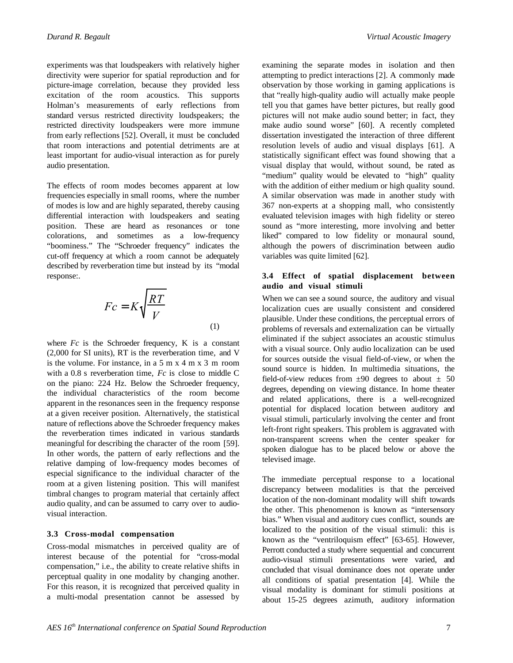experiments was that loudspeakers with relatively higher directivity were superior for spatial reproduction and for picture-image correlation, because they provided less excitation of the room acoustics. This supports Holman's measurements of early reflections from standard versus restricted directivity loudspeakers; the restricted directivity loudspeakers were more immune from early reflections [52]. Overall, it must be concluded that room interactions and potential detriments are at least important for audio-visual interaction as for purely audio presentation.

The effects of room modes becomes apparent at low frequencies especially in small rooms, where the number of modes is low and are highly separated, thereby causing differential interaction with loudspeakers and seating position. These are heard as resonances or tone colorations, and sometimes as a low-frequency "boominess." The "Schroeder frequency" indicates the cut-off frequency at which a room cannot be adequately described by reverberation time but instead by its "modal response:.

$$
Fc = K\sqrt{\frac{RT}{V}}
$$
 (1)

where  $Fc$  is the Schroeder frequency,  $K$  is a constant (2,000 for SI units), RT is the reverberation time, and V is the volume. For instance, in a 5 m x 4 m x 3 m room with a 0.8 s reverberation time, *Fc* is close to middle C on the piano: 224 Hz. Below the Schroeder frequency, the individual characteristics of the room become apparent in the resonances seen in the frequency response at a given receiver position. Alternatively, the statistical nature of reflections above the Schroeder frequency makes the reverberation times indicated in various standards meaningful for describing the character of the room [59]. In other words, the pattern of early reflections and the relative damping of low-frequency modes becomes of especial significance to the individual character of the room at a given listening position. This will manifest timbral changes to program material that certainly affect audio quality, and can be assumed to carry over to audiovisual interaction.

#### **3.3 Cross-modal compensation**

Cross-modal mismatches in perceived quality are of interest because of the potential for "cross-modal compensation," i.e., the ability to create relative shifts in perceptual quality in one modality by changing another. For this reason, it is recognized that perceived quality in a multi-modal presentation cannot be assessed by

examining the separate modes in isolation and then attempting to predict interactions [2]. A commonly made observation by those working in gaming applications is that "really high-quality audio will actually make people tell you that games have better pictures, but really good pictures will not make audio sound better; in fact, they make audio sound worse" [60]. A recently completed dissertation investigated the interaction of three different resolution levels of audio and visual displays [61]. A statistically significant effect was found showing that a visual display that would, without sound, be rated as "medium" quality would be elevated to "high" quality with the addition of either medium or high quality sound. A similar observation was made in another study with 367 non-experts at a shopping mall, who consistently evaluated television images with high fidelity or stereo sound as "more interesting, more involving and better liked" compared to low fidelity or monaural sound, although the powers of discrimination between audio variables was quite limited [62].

# **3.4 Effect of spatial displacement between audio and visual stimuli**

When we can see a sound source, the auditory and visual localization cues are usually consistent and considered plausible. Under these conditions, the perceptual errors of problems of reversals and externalization can be virtually eliminated if the subject associates an acoustic stimulus with a visual source. Only audio localization can be used for sources outside the visual field-of-view, or when the sound source is hidden. In multimedia situations, the field-of-view reduces from  $\pm 90$  degrees to about  $\pm 50$ degrees, depending on viewing distance. In home theater and related applications, there is a well-recognized potential for displaced location between auditory and visual stimuli, particularly involving the center and front left-front right speakers. This problem is aggravated with non-transparent screens when the center speaker for spoken dialogue has to be placed below or above the televised image.

The immediate perceptual response to a locational discrepancy between modalities is that the perceived location of the non-dominant modality will shift towards the other. This phenomenon is known as "intersensory bias." When visual and auditory cues conflict, sounds are localized to the position of the visual stimuli: this is known as the "ventriloquism effect" [63-65]. However, Perrott conducted a study where sequential and concurrent audio-visual stimuli presentations were varied, and concluded that visual dominance does not operate under all conditions of spatial presentation [4]. While the visual modality is dominant for stimuli positions at about 15-25 degrees azimuth, auditory information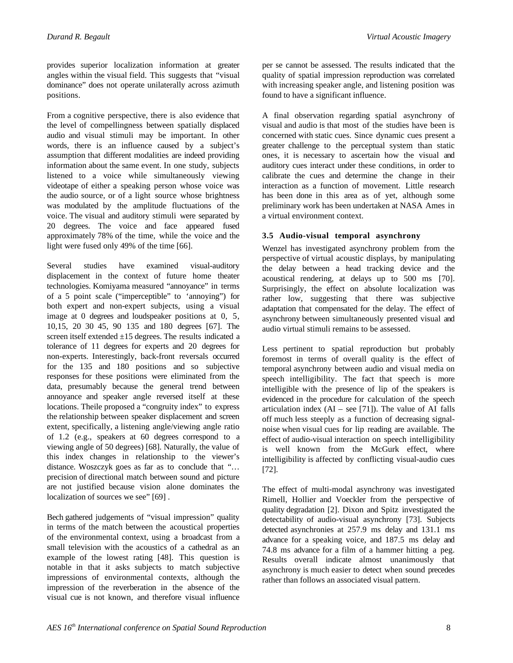provides superior localization information at greater angles within the visual field. This suggests that "visual dominance" does not operate unilaterally across azimuth positions.

From a cognitive perspective, there is also evidence that the level of compellingness between spatially displaced audio and visual stimuli may be important. In other words, there is an influence caused by a subject's assumption that different modalities are indeed providing information about the same event. In one study, subjects listened to a voice while simultaneously viewing videotape of either a speaking person whose voice was the audio source, or of a light source whose brightness was modulated by the amplitude fluctuations of the voice. The visual and auditory stimuli were separated by 20 degrees. The voice and face appeared fused approximately 78% of the time, while the voice and the light were fused only 49% of the time [66].

Several studies have examined visual-auditory displacement in the context of future home theater technologies. Komiyama measured "annoyance" in terms of a 5 point scale ("imperceptible" to 'annoying") for both expert and non-expert subjects, using a visual image at 0 degrees and loudspeaker positions at 0, 5, 10,15, 20 30 45, 90 135 and 180 degrees [67]. The screen itself extended ±15 degrees. The results indicated a tolerance of 11 degrees for experts and 20 degrees for non-experts. Interestingly, back-front reversals occurred for the 135 and 180 positions and so subjective responses for these positions were eliminated from the data, presumably because the general trend between annoyance and speaker angle reversed itself at these locations. Theile proposed a "congruity index" to express the relationship between speaker displacement and screen extent, specifically, a listening angle/viewing angle ratio of 1.2 (e.g., speakers at 60 degrees correspond to a viewing angle of 50 degrees) [68]. Naturally, the value of this index changes in relationship to the viewer's distance. Woszczyk goes as far as to conclude that "… precision of directional match between sound and picture are not justified because vision alone dominates the localization of sources we see" [69].

Bech gathered judgements of "visual impression" quality in terms of the match between the acoustical properties of the environmental context, using a broadcast from a small television with the acoustics of a cathedral as an example of the lowest rating [48]. This question is notable in that it asks subjects to match subjective impressions of environmental contexts, although the impression of the reverberation in the absence of the visual cue is not known, and therefore visual influence per se cannot be assessed. The results indicated that the quality of spatial impression reproduction was correlated with increasing speaker angle, and listening position was found to have a significant influence.

A final observation regarding spatial asynchrony of visual and audio is that most of the studies have been is concerned with static cues. Since dynamic cues present a greater challenge to the perceptual system than static ones, it is necessary to ascertain how the visual and auditory cues interact under these conditions, in order to calibrate the cues and determine the change in their interaction as a function of movement. Little research has been done in this area as of yet, although some preliminary work has been undertaken at NASA Ames in a virtual environment context.

# **3.5 Audio-visual temporal asynchrony**

Wenzel has investigated asynchrony problem from the perspective of virtual acoustic displays, by manipulating the delay between a head tracking device and the acoustical rendering, at delays up to 500 ms [70]. Surprisingly, the effect on absolute localization was rather low, suggesting that there was subjective adaptation that compensated for the delay. The effect of asynchrony between simultaneously presented visual and audio virtual stimuli remains to be assessed.

Less pertinent to spatial reproduction but probably foremost in terms of overall quality is the effect of temporal asynchrony between audio and visual media on speech intelligibility. The fact that speech is more intelligible with the presence of lip of the speakers is evidenced in the procedure for calculation of the speech articulation index  $(AI - see [71])$ . The value of AI falls off much less steeply as a function of decreasing signalnoise when visual cues for lip reading are available. The effect of audio-visual interaction on speech intelligibility is well known from the McGurk effect, where intelligibility is affected by conflicting visual-audio cues [72].

The effect of multi-modal asynchrony was investigated Rimell, Hollier and Voeckler from the perspective of quality degradation [2]. Dixon and Spitz investigated the detectability of audio-visual asynchrony [73]. Subjects detected asynchronies at 257.9 ms delay and 131.1 ms advance for a speaking voice, and 187.5 ms delay and 74.8 ms advance for a film of a hammer hitting a peg. Results overall indicate almost unanimously that asynchrony is much easier to detect when sound precedes rather than follows an associated visual pattern.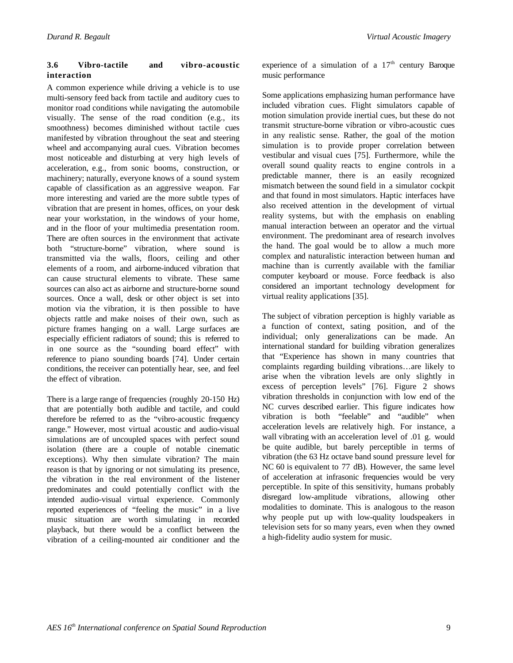# **3.6 Vibro-tactile and vibro-acoustic interaction**

A common experience while driving a vehicle is to use multi-sensory feed back from tactile and auditory cues to monitor road conditions while navigating the automobile visually. The sense of the road condition (e.g., its smoothness) becomes diminished without tactile cues manifested by vibration throughout the seat and steering wheel and accompanying aural cues. Vibration becomes most noticeable and disturbing at very high levels of acceleration, e.g., from sonic booms, construction, or machinery; naturally, everyone knows of a sound system capable of classification as an aggressive weapon. Far more interesting and varied are the more subtle types of vibration that are present in homes, offices, on your desk near your workstation, in the windows of your home, and in the floor of your multimedia presentation room. There are often sources in the environment that activate both "structure-borne" vibration, where sound is transmitted via the walls, floors, ceiling and other elements of a room, and airborne-induced vibration that can cause structural elements to vibrate. These same sources can also act as airborne and structure-borne sound sources. Once a wall, desk or other object is set into motion via the vibration, it is then possible to have objects rattle and make noises of their own, such as picture frames hanging on a wall. Large surfaces are especially efficient radiators of sound; this is referred to in one source as the "sounding board effect" with reference to piano sounding boards [74]. Under certain conditions, the receiver can potentially hear, see, and feel the effect of vibration.

There is a large range of frequencies (roughly 20-150 Hz) that are potentially both audible and tactile, and could therefore be referred to as the "vibro-acoustic frequency range." However, most virtual acoustic and audio-visual simulations are of uncoupled spaces with perfect sound isolation (there are a couple of notable cinematic exceptions). Why then simulate vibration? The main reason is that by ignoring or not simulating its presence, the vibration in the real environment of the listener predominates and could potentially conflict with the intended audio-visual virtual experience. Commonly reported experiences of "feeling the music" in a live music situation are worth simulating in recorded playback, but there would be a conflict between the vibration of a ceiling-mounted air conditioner and the experience of a simulation of a  $17<sup>th</sup>$  century Baroque music performance

Some applications emphasizing human performance have included vibration cues. Flight simulators capable of motion simulation provide inertial cues, but these do not transmit structure-borne vibration or vibro-acoustic cues in any realistic sense. Rather, the goal of the motion simulation is to provide proper correlation between vestibular and visual cues [75]. Furthermore, while the overall sound quality reacts to engine controls in a predictable manner, there is an easily recognized mismatch between the sound field in a simulator cockpit and that found in most simulators. Haptic interfaces have also received attention in the development of virtual reality systems, but with the emphasis on enabling manual interaction between an operator and the virtual environment. The predominant area of research involves the hand. The goal would be to allow a much more complex and naturalistic interaction between human and machine than is currently available with the familiar computer keyboard or mouse. Force feedback is also considered an important technology development for virtual reality applications [35].

The subject of vibration perception is highly variable as a function of context, sating position, and of the individual; only generalizations can be made. An international standard for building vibration generalizes that "Experience has shown in many countries that complaints regarding building vibrations…are likely to arise when the vibration levels are only slightly in excess of perception levels" [76]. Figure 2 shows vibration thresholds in conjunction with low end of the NC curves described earlier. This figure indicates how vibration is both "feelable" and "audible" when acceleration levels are relatively high. For instance, a wall vibrating with an acceleration level of .01 g. would be quite audible, but barely perceptible in terms of vibration (the 63 Hz octave band sound pressure level for NC 60 is equivalent to 77 dB). However, the same level of acceleration at infrasonic frequencies would be very perceptible. In spite of this sensitivity, humans probably disregard low-amplitude vibrations, allowing other modalities to dominate. This is analogous to the reason why people put up with low-quality loudspeakers in television sets for so many years, even when they owned a high-fidelity audio system for music.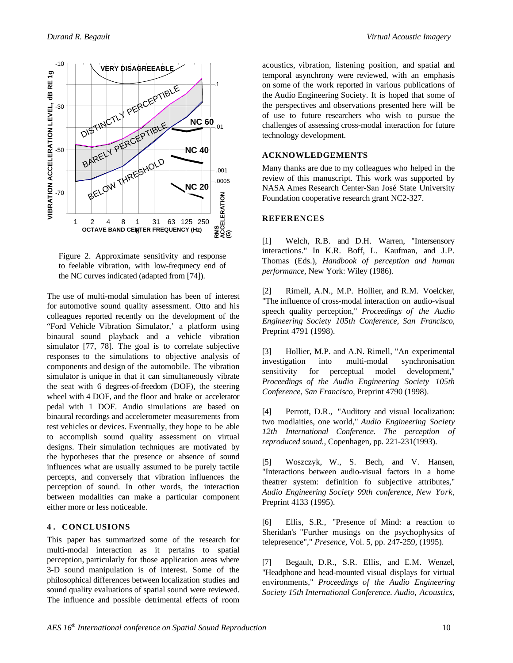

Figure 2. Approximate sensitivity and response to feelable vibration, with low-frequnecy end of the NC curves indicated (adapted from [74]).

The use of multi-modal simulation has been of interest for automotive sound quality assessment. Otto and his colleagues reported recently on the development of the "Ford Vehicle Vibration Simulator,' a platform using binaural sound playback and a vehicle vibration simulator [77, 78]. The goal is to correlate subjective responses to the simulations to objective analysis of components and design of the automobile. The vibration simulator is unique in that it can simultaneously vibrate the seat with 6 degrees-of-freedom (DOF), the steering wheel with 4 DOF, and the floor and brake or accelerator pedal with 1 DOF. Audio simulations are based on binaural recordings and accelerometer measurements from test vehicles or devices. Eventually, they hope to be able to accomplish sound quality assessment on virtual designs. Their simulation techniques are motivated by the hypotheses that the presence or absence of sound influences what are usually assumed to be purely tactile percepts, and conversely that vibration influences the perception of sound. In other words, the interaction between modalities can make a particular component either more or less noticeable.

# **4 . CONCLUSIONS**

This paper has summarized some of the research for multi-modal interaction as it pertains to spatial perception, particularly for those application areas where 3-D sound manipulation is of interest. Some of the philosophical differences between localization studies and sound quality evaluations of spatial sound were reviewed. The influence and possible detrimental effects of room

acoustics, vibration, listening position, and spatial and temporal asynchrony were reviewed, with an emphasis on some of the work reported in various publications of the Audio Engineering Society. It is hoped that some of the perspectives and observations presented here will be of use to future researchers who wish to pursue the challenges of assessing cross-modal interaction for future technology development.

# **ACKNOWLEDGEMENTS**

Many thanks are due to my colleagues who helped in the review of this manuscript. This work was supported by NASA Ames Research Center-San José State University Foundation cooperative research grant NC2-327.

# **REFERENCES**

[1] Welch, R.B. and D.H. Warren, "Intersensory interactions." In K.R. Boff, L. Kaufman, and J.P. Thomas (Eds.), *Handbook of perception and human performance*, New York: Wiley (1986).

[2] Rimell, A.N., M.P. Hollier, and R.M. Voelcker, "The influence of cross-modal interaction on audio-visual speech quality perception," *Proceedings of the Audio Engineering Society 105th Conference, San Francisco,* Preprint 4791 (1998).

[3] Hollier, M.P. and A.N. Rimell, "An experimental investigation into multi-modal synchronisation sensitivity for perceptual model development," *Proceedings of the Audio Engineering Society 105th Conference, San Francisco,* Preprint 4790 (1998).

[4] Perrott, D.R., "Auditory and visual localization: two modlaities, one world," *Audio Engineering Society 12th International Conference. The perception of reproduced sound.,* Copenhagen*,* pp. 221-231(1993).

[5] Woszczyk, W., S. Bech, and V. Hansen, "Interactions between audio-visual factors in a home theatrer system: definition fo subjective attributes," *Audio Engineering Society 99th conference, New York,* Preprint 4133 (1995).

[6] Ellis, S.R., "Presence of Mind: a reaction to Sheridan's "Further musings on the psychophysics of telepresence"," *Presence*, Vol. 5, pp. 247-259, (1995).

[7] Begault, D.R., S.R. Ellis, and E.M. Wenzel, "Headphone and head-mounted visual displays for virtual environments," *Proceedings of the Audio Engineering Society 15th International Conference. Audio, Acoustics,*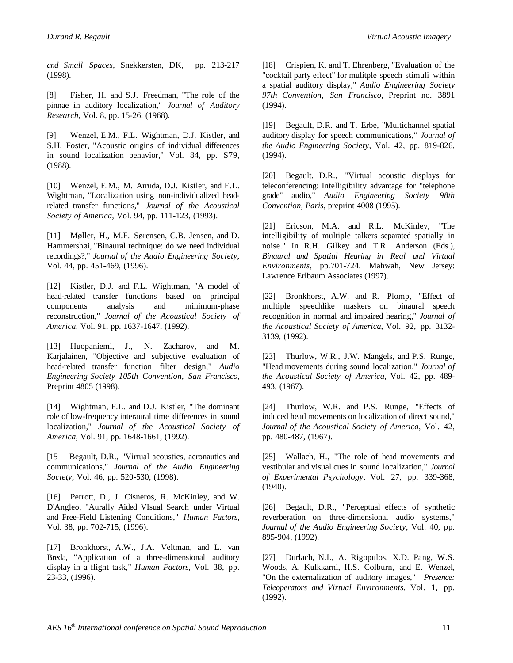*and Small Spaces,* Snekkersten, DK*,* pp. 213-217 (1998).

[8] Fisher, H. and S.J. Freedman, "The role of the pinnae in auditory localization," *Journal of Auditory Research*, Vol. 8, pp. 15-26, (1968).

[9] Wenzel, E.M., F.L. Wightman, D.J. Kistler, and S.H. Foster, "Acoustic origins of individual differences in sound localization behavior," Vol. 84, pp. S79, (1988).

[10] Wenzel, E.M., M. Arruda, D.J. Kistler, and F.L. Wightman, "Localization using non-individualized headrelated transfer functions," *Journal of the Acoustical Society of America*, Vol. 94, pp. 111-123, (1993).

[11] Møller, H., M.F. Sørensen, C.B. Jensen, and D. Hammershøi, "Binaural technique: do we need individual recordings?," *Journal of the Audio Engineering Society*, Vol. 44, pp. 451-469, (1996).

[12] Kistler, D.J. and F.L. Wightman, "A model of head-related transfer functions based on principal components analysis and minimum-phase reconstruction," *Journal of the Acoustical Society of America*, Vol. 91, pp. 1637-1647, (1992).

[13] Huopaniemi, J., N. Zacharov, and M. Karjalainen, "Objective and subjective evaluation of head-related transfer function filter design," *Audio Engineering Society 105th Convention, San Francisco,* Preprint 4805 (1998).

[14] Wightman, F.L. and D.J. Kistler, "The dominant role of low-frequency interaural time differences in sound localization," *Journal of the Acoustical Society of America*, Vol. 91, pp. 1648-1661, (1992).

[15 Begault, D.R., "Virtual acoustics, aeronautics and communications," *Journal of the Audio Engineering Society*, Vol. 46, pp. 520-530, (1998).

[16] Perrott, D., J. Cisneros, R. McKinley, and W. D'Angleo, "Aurally Aided VIsual Search under Virtual and Free-Field Listening Conditions," *Human Factors*, Vol. 38, pp. 702-715, (1996).

[17] Bronkhorst, A.W., J.A. Veltman, and L. van Breda, "Application of a three-dimensional auditory display in a flight task," *Human Factors*, Vol. 38, pp. 23-33, (1996).

[18] Crispien, K. and T. Ehrenberg, "Evaluation of the "cocktail party effect" for mulitple speech stimuli within a spatial auditory display," *Audio Engineering Society 97th Convention, San Francisco,* Preprint no. 3891 (1994).

[19] Begault, D.R. and T. Erbe, "Multichannel spatial auditory display for speech communications," *Journal of the Audio Engineering Society*, Vol. 42, pp. 819-826, (1994).

[20] Begault, D.R., "Virtual acoustic displays for teleconferencing: Intelligibility advantage for "telephone grade" audio," *Audio Engineering Society 98th Convention, Paris,* preprint 4008 (1995).

[21] Ericson, M.A. and R.L. McKinley, "The intelligibility of multiple talkers separated spatially in noise." In R.H. Gilkey and T.R. Anderson (Eds.), *Binaural and Spatial Hearing in Real and Virtual Environments*, pp*.*701-724. Mahwah, New Jersey: Lawrence Erlbaum Associates (1997).

[22] Bronkhorst, A.W. and R. Plomp, "Effect of multiple speechlike maskers on binaural speech recognition in normal and impaired hearing," *Journal of the Acoustical Society of America*, Vol. 92, pp. 3132- 3139, (1992).

[23] Thurlow, W.R., J.W. Mangels, and P.S. Runge, "Head movements during sound localization," *Journal of the Acoustical Society of America*, Vol. 42, pp. 489- 493, (1967).

[24] Thurlow, W.R. and P.S. Runge, "Effects of induced head movements on localization of direct sound," *Journal of the Acoustical Society of America*, Vol. 42, pp. 480-487, (1967).

[25] Wallach, H., "The role of head movements and vestibular and visual cues in sound localization," *Journal of Experimental Psychology*, Vol. 27, pp. 339-368, (1940).

[26] Begault, D.R., "Perceptual effects of synthetic reverberation on three-dimensional audio systems," *Journal of the Audio Engineering Society*, Vol. 40, pp. 895-904, (1992).

[27] Durlach, N.I., A. Rigopulos, X.D. Pang, W.S. Woods, A. Kulkkarni, H.S. Colburn, and E. Wenzel, "On the externalization of auditory images," *Presence: Teleoperators and Virtual Environments*, Vol. 1, pp. (1992).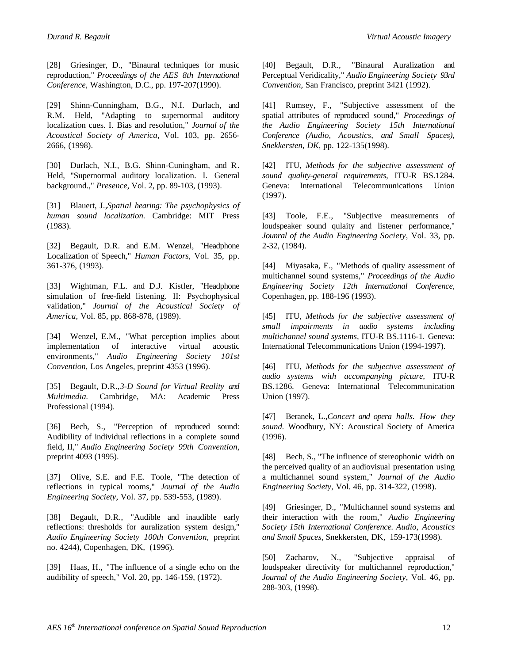[28] Griesinger, D., "Binaural techniques for music reproduction," *Proceedings of the AES 8th International Conference,* Washington, D.C.*,* pp. 197-207(1990).

[29] Shinn-Cunningham, B.G., N.I. Durlach, and R.M. Held, "Adapting to supernormal auditory localization cues. I. Bias and resolution," *Journal of the Acoustical Society of America*, Vol. 103, pp. 2656- 2666, (1998).

[30] Durlach, N.I., B.G. Shinn-Cuningham, and R. Held, "Supernormal auditory localization. I. General background.," *Presence*, Vol. 2, pp. 89-103, (1993).

[31] Blauert, J.,*Spatial hearing: The psychophysics of human sound localization.* Cambridge: MIT Press (1983).

[32] Begault, D.R. and E.M. Wenzel, "Headphone Localization of Speech," *Human Factors*, Vol. 35, pp. 361-376, (1993).

[33] Wightman, F.L. and D.J. Kistler, "Headphone simulation of free-field listening. II: Psychophysical validation," *Journal of the Acoustical Society of America*, Vol. 85, pp. 868-878, (1989).

[34] Wenzel, E.M., "What perception implies about implementation of interactive virtual acoustic environments," *Audio Engineering Society 101st Convention,* Los Angeles*,* preprint 4353 (1996).

[35] Begault, D.R.,*3-D Sound for Virtual Reality and Multimedia.* Cambridge, MA: Academic Press Professional (1994).

[36] Bech, S., "Perception of reproduced sound: Audibility of individual reflections in a complete sound field, II," *Audio Engineering Society 99th Convention,* preprint 4093 (1995).

[37] Olive, S.E. and F.E. Toole, "The detection of reflections in typical rooms," *Journal of the Audio Engineering Society*, Vol. 37, pp. 539-553, (1989).

[38] Begault, D.R., "Audible and inaudible early reflections: thresholds for auralization system design," *Audio Engineering Society 100th Convention,* preprint no. 4244)*,* Copenhagen, DK*,* (1996).

[39] Haas, H., "The influence of a single echo on the audibility of speech," Vol. 20, pp. 146-159, (1972).

[40] Begault, D.R., "Binaural Auralization and Perceptual Veridicality," *Audio Engineering Society 93rd Convention,* San Francisco*,* preprint 3421 (1992).

[41] Rumsey, F., "Subjective assessment of the spatial attributes of reproduced sound," *Proceedings of the Audio Engineering Society 15th International Conference (Audio, Acoustics, and Small Spaces), Snekkersten, DK,* pp. 122-135(1998).

[42] ITU, *Methods for the subjective assessment of sound quality-general requirements,* ITU-R BS.1284*.* Geneva: International Telecommunications Union (1997).

[43] Toole, F.E., "Subjective measurements of loudspeaker sound qulaity and listener performance," *Jounral of the Audio Engineering Society*, Vol. 33, pp. 2-32, (1984).

[44] Miyasaka, E., "Methods of quality assessment of multichannel sound systems," *Proceedings of the Audio Engineering Society 12th International Conference,* Copenhagen*,* pp. 188-196 (1993).

[45] ITU, *Methods for the subjective assessment of small impairments in audio systems including multichannel sound systems,* ITU-R BS.1116-1*.* Geneva: International Telecommunications Union (1994-1997).

[46] ITU, *Methods for the subjective assessment of audio systems with accompanying picture,* ITU-R BS.1286*.* Geneva: International Telecommunication Union (1997).

[47] Beranek, L.,*Concert and opera halls. How they sound.* Woodbury, NY: Acoustical Society of America (1996).

[48] Bech, S., "The influence of stereophonic width on the perceived quality of an audiovisual presentation using a multichannel sound system," *Journal of the Audio Engineering Society*, Vol. 46, pp. 314-322, (1998).

[49] Griesinger, D., "Multichannel sound systems and their interaction with the room," *Audio Engineering Society 15th International Conference. Audio, Acoustics and Small Spaces,* Snekkersten, DK*,* 159-173(1998).

[50] Zacharov, N., "Subjective appraisal of loudspeaker directivity for multichannel reproduction," *Journal of the Audio Engineering Society*, Vol. 46, pp. 288-303, (1998).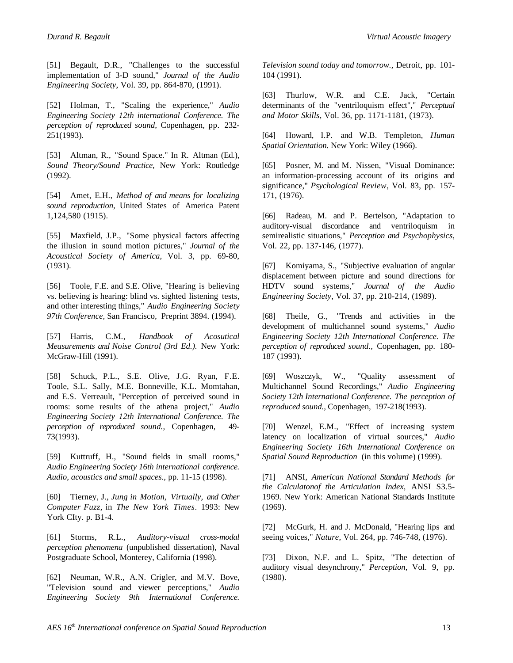[51] Begault, D.R., "Challenges to the successful implementation of 3-D sound," *Journal of the Audio Engineering Society*, Vol. 39, pp. 864-870, (1991).

[52] Holman, T., "Scaling the experience," *Audio Engineering Society 12th international Conference. The perception of reproduced sound,* Copenhagen*,* pp. 232- 251(1993).

[53] Altman, R., "Sound Space." In R. Altman (Ed.), *Sound Theory/Sound Practice*, New York: Routledge (1992).

[54] Amet, E.H., *Method of and means for localizing sound reproduction,* United States of America Patent 1,124,580 (1915).

[55] Maxfield, J.P., "Some physical factors affecting the illusion in sound motion pictures," *Journal of the Acoustical Society of America*, Vol. 3, pp. 69-80, (1931).

[56] Toole, F.E. and S.E. Olive, "Hearing is believing vs. believing is hearing: blind vs. sighted listening tests, and other interesting things," *Audio Engineering Society 97th Conference,* San Francisco*,* Preprint 3894. (1994).

[57] Harris, C.M., *Handbook of Acosutical Measurements and Noise Control (3rd Ed.).* New York: McGraw-Hill (1991).

[58] Schuck, P.L., S.E. Olive, J.G. Ryan, F.E. Toole, S.L. Sally, M.E. Bonneville, K.L. Momtahan, and E.S. Verreault, "Perception of perceived sound in rooms: some results of the athena project," *Audio Engineering Society 12th International Conference. The perception of reproduced sound.,* Copenhagen*,* 49- 73(1993).

[59] Kuttruff, H., "Sound fields in small rooms," *Audio Engineering Society 16th international conference. Audio, acoustics and small spaces.,* pp. 11-15 (1998).

[60] Tierney, J., *Jung in Motion, Virtually, and Other Computer Fuzz*, in *The New York Times*. 1993: New York CIty. p. B1-4.

[61] Storms, R.L., *Auditory-visual cross-modal perception phenomena* (unpublished dissertation), Naval Postgraduate School, Monterey, California (1998).

[62] Neuman, W.R., A.N. Crigler, and M.V. Bove, "Television sound and viewer perceptions," *Audio Engineering Society 9th International Conference.*

*Television sound today and tomorrow.,* Detroit*,* pp. 101- 104 (1991).

[63] Thurlow, W.R. and C.E. Jack, "Certain determinants of the "ventriloquism effect"," *Perceptual and Motor Skills*, Vol. 36, pp. 1171-1181, (1973).

[64] Howard, I.P. and W.B. Templeton, *Human Spatial Orientation.* New York: Wiley (1966).

[65] Posner, M. and M. Nissen, "Visual Dominance: an information-processing account of its origins and significance," *Psychological Review*, Vol. 83, pp. 157- 171, (1976).

[66] Radeau, M. and P. Bertelson, "Adaptation to auditory-visual discordance and ventriloquism in semirealistic situations," *Perception and Psychophysics*, Vol. 22, pp. 137-146, (1977).

[67] Komiyama, S., "Subjective evaluation of angular displacement between picture and sound directions for HDTV sound systems," *Journal of the Audio Engineering Society*, Vol. 37, pp. 210-214, (1989).

[68] Theile, G., "Trends and activities in the development of multichannel sound systems," *Audio Engineering Society 12th International Conference. The perception of reproduced sound.,* Copenhagen*,* pp. 180- 187 (1993).

[69] Woszczyk, W., "Quality assessment of Multichannel Sound Recordings," *Audio Engineering Society 12th International Conference. The perception of reproduced sound.,* Copenhagen*,* 197-218(1993).

[70] Wenzel, E.M., "Effect of increasing system latency on localization of virtual sources," *Audio Engineering Society 16th International Conference on Spatial Sound Reproduction* (in this volume) (1999).

[71] ANSI, *American National Standard Methods for the Calculatonof the Articulation Index,* ANSI S3.5- 1969*.* New York: American National Standards Institute (1969).

[72] McGurk, H. and J. McDonald, "Hearing lips and seeing voices," *Nature*, Vol. 264, pp. 746-748, (1976).

[73] Dixon, N.F. and L. Spitz, "The detection of auditory visual desynchrony," *Perception*, Vol. 9, pp. (1980).